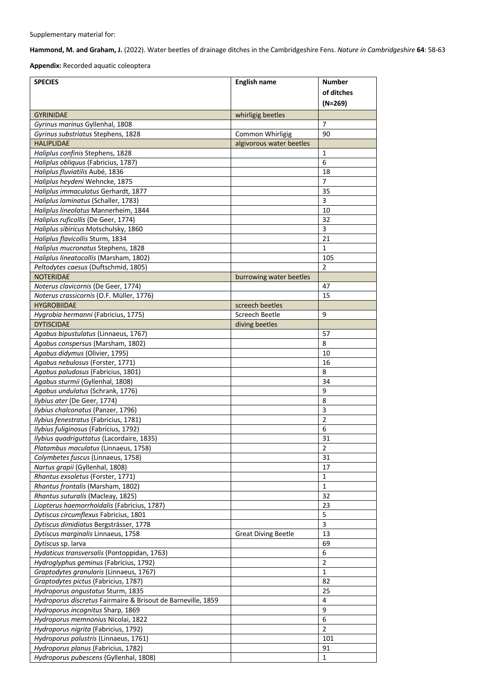**Hammond, M. and Graham, J.** (2022). Water beetles of drainage ditches in the Cambridgeshire Fens. *Nature in Cambridgeshire* **64**: 58-63

**Appendix:** Recorded aquatic coleoptera

| <b>SPECIES</b>                                                                  | <b>English name</b>        | <b>Number</b><br>of ditches |
|---------------------------------------------------------------------------------|----------------------------|-----------------------------|
|                                                                                 |                            | $(N=269)$                   |
| <b>GYRINIDAE</b>                                                                | whirligig beetles          |                             |
| Gyrinus marinus Gyllenhal, 1808                                                 |                            | 7                           |
| Gyrinus substriatus Stephens, 1828                                              | Common Whirligig           | 90                          |
| <b>HALIPLIDAE</b>                                                               | algivorous water beetles   |                             |
| Haliplus confinis Stephens, 1828                                                |                            | 1                           |
| Haliplus obliquus (Fabricius, 1787)                                             |                            | 6                           |
| Haliplus fluviatilis Aubé, 1836                                                 |                            | 18                          |
| Haliplus heydeni Wehncke, 1875                                                  |                            | $\overline{7}$              |
| Haliplus immaculatus Gerhardt, 1877                                             |                            | 35                          |
| Haliplus laminatus (Schaller, 1783)                                             |                            | 3                           |
| Haliplus lineolatus Mannerheim, 1844                                            |                            | 10                          |
| Haliplus ruficollis (De Geer, 1774)                                             |                            | 32                          |
| Haliplus sibiricus Motschulsky, 1860                                            |                            | 3                           |
| Haliplus flavicollis Sturm, 1834                                                |                            | 21                          |
| Haliplus mucronatus Stephens, 1828                                              |                            | 1                           |
| Haliplus lineatocollis (Marsham, 1802)                                          |                            | 105<br>$\overline{2}$       |
| Peltodytes caesus (Duftschmid, 1805)                                            |                            |                             |
| <b>NOTERIDAE</b>                                                                | burrowing water beetles    |                             |
| Noterus clavicornis (De Geer, 1774)<br>Noterus crassicornis (O.F. Müller, 1776) |                            | 47<br>15                    |
| <b>HYGROBIIDAE</b>                                                              | screech beetles            |                             |
| Hygrobia hermanni (Fabricius, 1775)                                             | Screech Beetle             | 9                           |
| <b>DYTISCIDAE</b>                                                               | diving beetles             |                             |
| Agabus bipustulatus (Linnaeus, 1767)                                            |                            | 57                          |
| Agabus conspersus (Marsham, 1802)                                               |                            | 8                           |
| Agabus didymus (Olivier, 1795)                                                  |                            | 10                          |
| Agabus nebulosus (Forster, 1771)                                                |                            | 16                          |
| Agabus paludosus (Fabricius, 1801)                                              |                            | 8                           |
| Agabus sturmii (Gyllenhal, 1808)                                                |                            | 34                          |
| Agabus undulatus (Schrank, 1776)                                                |                            | 9                           |
| Ilybius ater (De Geer, 1774)                                                    |                            | 8                           |
| Ilybius chalconatus (Panzer, 1796)                                              |                            | 3                           |
| Ilybius fenestratus (Fabricius, 1781)                                           |                            | 2                           |
| Ilybius fuliginosus (Fabricius, 1792)                                           |                            | 6                           |
| Ilybius quadriguttatus (Lacordaire, 1835)                                       |                            | 31                          |
| Platambus maculatus (Linnaeus, 1758)                                            |                            | $\overline{2}$              |
| Colymbetes fuscus (Linnaeus, 1758)                                              |                            | 31                          |
| Nartus grapii (Gyllenhal, 1808)                                                 |                            | 17                          |
| Rhantus exsoletus (Forster, 1771)                                               |                            | $\mathbf{1}$                |
| Rhantus frontalis (Marsham, 1802)                                               |                            | $\mathbf 1$                 |
| Rhantus suturalis (Macleay, 1825)                                               |                            | 32                          |
| Liopterus haemorrhoidalis (Fabricius, 1787)                                     |                            | 23                          |
| Dytiscus circumflexus Fabricius, 1801                                           |                            | 5                           |
| Dytiscus dimidiatus Bergsträsser, 1778                                          |                            | 3                           |
| Dytiscus marginalis Linnaeus, 1758                                              | <b>Great Diving Beetle</b> | 13                          |
| Dytiscus sp. larva                                                              |                            | 69                          |
| Hydaticus transversalis (Pontoppidan, 1763)                                     |                            | 6                           |
| Hydroglyphus geminus (Fabricius, 1792)                                          |                            | $\overline{2}$              |
| Graptodytes granularis (Linnaeus, 1767)                                         |                            | 1                           |
| Graptodytes pictus (Fabricius, 1787)                                            |                            | 82                          |
| Hydroporus angustatus Sturm, 1835                                               |                            | 25                          |
| Hydroporus discretus Fairmaire & Brisout de Barneville, 1859                    |                            | 4                           |
| Hydroporus incognitus Sharp, 1869                                               |                            | 9                           |
| Hydroporus memnonius Nicolai, 1822                                              |                            | 6                           |
| Hydroporus nigrita (Fabricius, 1792)                                            |                            | $\overline{2}$              |
| Hydroporus palustris (Linnaeus, 1761)                                           |                            | 101                         |
| Hydroporus planus (Fabricius, 1782)                                             |                            | 91                          |
| Hydroporus pubescens (Gyllenhal, 1808)                                          |                            | $\mathbf{1}$                |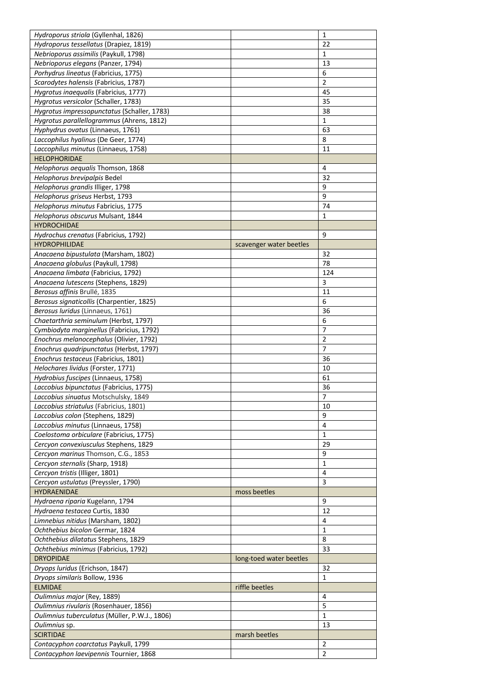| Hydroporus striola (Gyllenhal, 1826)          |                         | 1              |
|-----------------------------------------------|-------------------------|----------------|
| Hydroporus tessellatus (Drapiez, 1819)        |                         | 22             |
| Nebrioporus assimilis (Paykull, 1798)         |                         | 1              |
| Nebrioporus elegans (Panzer, 1794)            |                         | 13             |
| Porhydrus lineatus (Fabricius, 1775)          |                         | 6              |
| Scarodytes halensis (Fabricius, 1787)         |                         | $\overline{2}$ |
| Hygrotus inaequalis (Fabricius, 1777)         |                         | 45             |
| Hygrotus versicolor (Schaller, 1783)          |                         | 35             |
| Hygrotus impressopunctatus (Schaller, 1783)   |                         | 38             |
| Hygrotus parallellogrammus (Ahrens, 1812)     |                         | 1              |
| Hyphydrus ovatus (Linnaeus, 1761)             |                         | 63             |
| Laccophilus hyalinus (De Geer, 1774)          |                         | 8              |
| Laccophilus minutus (Linnaeus, 1758)          |                         | 11             |
| <b>HELOPHORIDAE</b>                           |                         |                |
| Helophorus aequalis Thomson, 1868             |                         | 4              |
| Helophorus brevipalpis Bedel                  |                         | 32             |
| Helophorus grandis Illiger, 1798              |                         | 9              |
| Helophorus griseus Herbst, 1793               |                         | 9              |
| Helophorus minutus Fabricius, 1775            |                         | 74             |
|                                               |                         |                |
| Helophorus obscurus Mulsant, 1844             |                         | 1              |
| <b>HYDROCHIDAE</b>                            |                         |                |
| Hydrochus crenatus (Fabricius, 1792)          |                         | 9              |
| <b>HYDROPHILIDAE</b>                          | scavenger water beetles |                |
| Anacaena bipustulata (Marsham, 1802)          |                         | 32             |
| Anacaena globulus (Paykull, 1798)             |                         | 78             |
| Anacaena limbata (Fabricius, 1792)            |                         | 124            |
| Anacaena lutescens (Stephens, 1829)           |                         | 3              |
| Berosus affinis Brullé, 1835                  |                         | 11             |
| Berosus signaticollis (Charpentier, 1825)     |                         | 6              |
| Berosus luridus (Linnaeus, 1761)              |                         | 36             |
| Chaetarthria seminulum (Herbst, 1797)         |                         | 6              |
| Cymbiodyta marginellus (Fabricius, 1792)      |                         | 7              |
| Enochrus melanocephalus (Olivier, 1792)       |                         | $\overline{2}$ |
| Enochrus quadripunctatus (Herbst, 1797)       |                         | $\overline{7}$ |
| Enochrus testaceus (Fabricius, 1801)          |                         | 36             |
| Helochares lividus (Forster, 1771)            |                         | 10             |
| Hydrobius fuscipes (Linnaeus, 1758)           |                         | 61             |
| Laccobius bipunctatus (Fabricius, 1775)       |                         | 36             |
| Laccobius sinuatus Motschulsky, 1849          |                         | 7              |
| Laccobius striatulus (Fabricius, 1801)        |                         | 10             |
| Laccobius colon (Stephens, 1829)              |                         | 9              |
| Laccobius minutus (Linnaeus, 1758)            |                         | 4              |
| Coelostoma orbiculare (Fabricius, 1775)       |                         | 1              |
| Cercyon convexiusculus Stephens, 1829         |                         | 29             |
| Cercyon marinus Thomson, C.G., 1853           |                         | 9              |
| Cercyon sternalis (Sharp, 1918)               |                         | $\mathbf{1}$   |
| Cercyon tristis (Illiger, 1801)               |                         | 4              |
| Cercyon ustulatus (Preyssler, 1790)           |                         | 3              |
| <b>HYDRAENIDAE</b>                            | moss beetles            |                |
| Hydraena riparia Kugelann, 1794               |                         | 9              |
| Hydraena testacea Curtis, 1830                |                         | 12             |
| Limnebius nitidus (Marsham, 1802)             |                         | 4              |
|                                               |                         | 1              |
| Ochthebius bicolon Germar, 1824               |                         | 8              |
| Ochthebius dilatatus Stephens, 1829           |                         |                |
| Ochthebius minimus (Fabricius, 1792)          |                         | 33             |
| <b>DRYOPIDAE</b>                              | long-toed water beetles |                |
| Dryops luridus (Erichson, 1847)               |                         | 32             |
| Dryops similaris Bollow, 1936                 |                         | 1              |
| <b>ELMIDAE</b>                                | riffle beetles          |                |
| Oulimnius major (Rey, 1889)                   |                         | 4              |
| Oulimnius rivularis (Rosenhauer, 1856)        |                         | 5              |
| Oulimnius tuberculatus (Müller, P.W.J., 1806) |                         | 1              |
| Oulimnius sp.                                 |                         | 13             |
| <b>SCIRTIDAE</b>                              | marsh beetles           |                |
| Contacyphon coarctatus Paykull, 1799          |                         | 2              |
|                                               |                         |                |